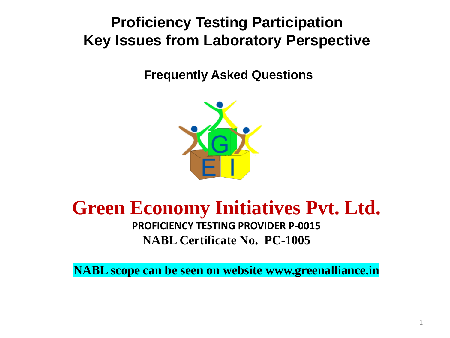## **Proficiency Testing Participation Key Issues from Laboratory Perspective**

**Frequently Asked Questions**



# **Green Economy Initiatives Pvt. Ltd.**

**PROFICIENCY TESTING PROVIDER P-0015 NABL Certificate No. PC-1005**

**NABL scope can be seen on website www.greenalliance.in**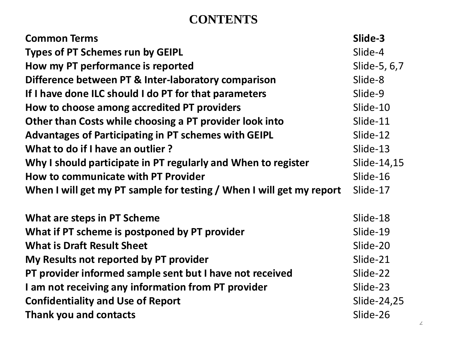### **CONTENTS**

| <b>Common Terms</b>                                                  | Slide-3      |
|----------------------------------------------------------------------|--------------|
| <b>Types of PT Schemes run by GEIPL</b>                              | Slide-4      |
| How my PT performance is reported                                    | Slide-5, 6,7 |
| Difference between PT & Inter-laboratory comparison                  | Slide-8      |
| If I have done ILC should I do PT for that parameters                | Slide-9      |
| How to choose among accredited PT providers                          | Slide-10     |
| Other than Costs while choosing a PT provider look into              | Slide-11     |
| <b>Advantages of Participating in PT schemes with GEIPL</b>          | Slide-12     |
| What to do if I have an outlier?                                     | Slide-13     |
| Why I should participate in PT regularly and When to register        | Slide-14,15  |
| How to communicate with PT Provider                                  | Slide-16     |
| When I will get my PT sample for testing / When I will get my report | Slide-17     |
| What are steps in PT Scheme                                          | Slide-18     |
| What if PT scheme is postponed by PT provider                        | Slide-19     |
| <b>What is Draft Result Sheet</b>                                    | Slide-20     |
| My Results not reported by PT provider                               | Slide-21     |
| PT provider informed sample sent but I have not received             | Slide-22     |
| I am not receiving any information from PT provider                  | Slide-23     |
| <b>Confidentiality and Use of Report</b>                             | Slide-24,25  |
|                                                                      |              |
| Thank you and contacts                                               | Slide-26     |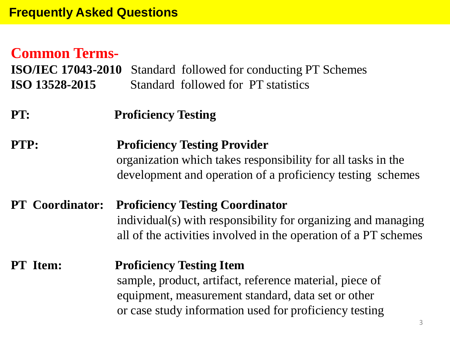### **Common Terms-**

**ISO/IEC 17043-2010** Standard followed for conducting PT Schemes **ISO 13528-2015** Standard followed for PT statistics

**PT: Proficiency Testing**

**PTP: Proficiency Testing Provider** organization which takes responsibility for all tasks in the development and operation of a proficiency testing schemes

**PT Coordinator: Proficiency Testing Coordinator** individual(s) with responsibility for organizing and managing all of the activities involved in the operation of a PT schemes

**PT Item: Proficiency Testing Item** sample, product, artifact, reference material, piece of equipment, measurement standard, data set or other or case study information used for proficiency testing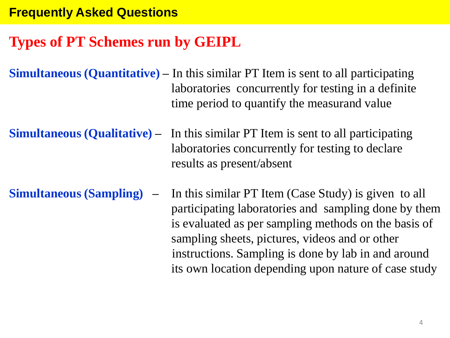#### **Frequently Asked Questions**

### **Types of PT Schemes run by GEIPL**

- **Simultaneous (Quantitative) –** In this similar PT Item is sent to all participating laboratories concurrently for testing in a definite time period to quantify the measurand value
- **Simultaneous (Qualitative) –** In this similar PT Item is sent to all participating laboratories concurrently for testing to declare results as present/absent
- **Simultaneous (Sampling) –** In this similar PT Item (Case Study) is given to all participating laboratories and sampling done by them is evaluated as per sampling methods on the basis of sampling sheets, pictures, videos and or other instructions. Sampling is done by lab in and around its own location depending upon nature of case study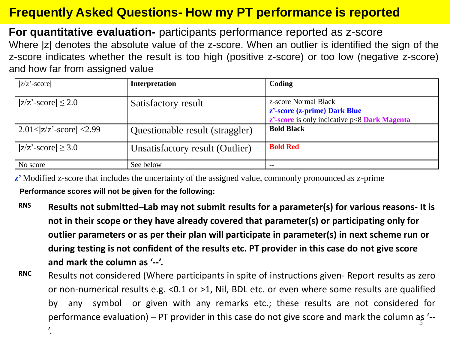### **Frequently Asked Questions- How my PT performance is reported**

**For quantitative evaluation-** participants performance reported as z-score Where |z| denotes the absolute value of the z-score. When an outlier is identified the sign of the z-score indicates whether the result is too high (positive z-score) or too low (negative z-score) and how far from assigned value

| $ z/z'$ -score                 | Interpretation                  | Coding                                                                                                      |
|--------------------------------|---------------------------------|-------------------------------------------------------------------------------------------------------------|
| $ z/z'$ -score $ \leq 2.0$     | Satisfactory result             | z-score Normal Black<br>z'-score (z-prime) Dark Blue<br>$z'$ -score is only indicative $p < 8$ Dark Magenta |
| $2.01 <  z/z' - score  < 2.99$ | Questionable result (straggler) | <b>Bold Black</b>                                                                                           |
| $ z/z'$ -score $ \geq 3.0$     | Unsatisfactory result (Outlier) | <b>Bold Red</b>                                                                                             |
| No score                       | See below                       | $- -$                                                                                                       |

**z**<sup>2</sup> Modified z-score that includes the uncertainty of the assigned value, commonly pronounced as z-prime **Performance scores will not be given for the following:**

'.

- **RNS Results not submitted–Lab may not submit results for a parameter(s) for various reasons- It is not in their scope or they have already covered that parameter(s) or participating only for outlier parameters or as per their plan will participate in parameter(s) in next scheme run or during testing is not confident of the results etc. PT provider in this case do not give score and mark the column as '--'.**
- **RNC** Results not considered (Where participants in spite of instructions given- Report results as zero or non-numerical results e.g. <0.1 or >1, Nil, BDL etc. or even where some results are qualified by any symbol or given with any remarks etc.; these results are not considered for performance evaluation) – PT provider in this case do not give score and mark the column as '--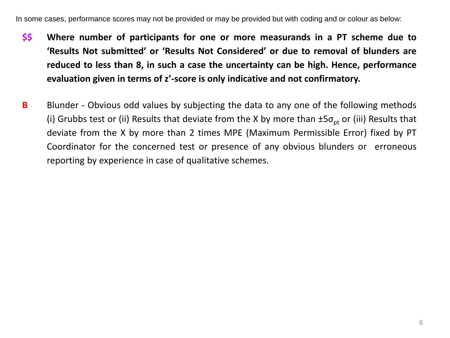In some cases, performance scores may not be provided or may be provided but with coding and or colour as below:

- **\$\$ Where number of participants for one or more measurands in a PT scheme due to 'Results Not submitted' or 'Results Not Considered' or due to removal of blunders are reduced to less than 8, in such a case the uncertainty can be high. Hence, performance evaluation given in terms of z'-score is only indicative and not confirmatory.**
- **B** Blunder Obvious odd values by subjecting the data to any one of the following methods (i) Grubbs test or (ii) Results that deviate from the X by more than  $\pm 5\sigma_{pt}$  or (iii) Results that deviate from the X by more than 2 times MPE (Maximum Permissible Error) fixed by PT Coordinator for the concerned test or presence of any obvious blunders or erroneous reporting by experience in case of qualitative schemes.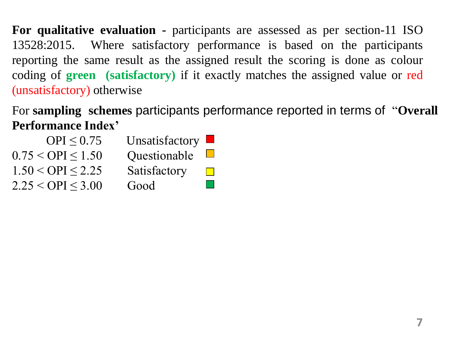**For qualitative evaluation -** participants are assessed as per section-11 ISO 13528:2015. Where satisfactory performance is based on the participants reporting the same result as the assigned result the scoring is done as colour coding of **green (satisfactory)** if it exactly matches the assigned value or red (unsatisfactory) otherwise

For **sampling schemes** participants performance reported in terms of "**Overall Performance Index'**

| OPI < 0.75               | Unsatisfactory $\blacksquare$ |                             |
|--------------------------|-------------------------------|-----------------------------|
| $0.75 <$ OPI $\leq 1.50$ | Questionable                  | $\mathcal{L}^{\mathcal{A}}$ |
| $1.50 <$ OPI $\leq$ 2.25 | Satisfactory                  |                             |
| $2.25 <$ OPI $\leq$ 3.00 | Good                          | $\sim 10$                   |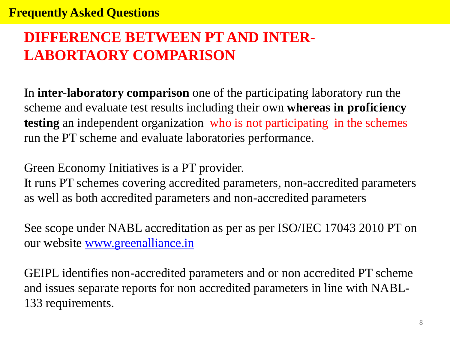## **DIFFERENCE BETWEEN PT AND INTER-LABORTAORY COMPARISON**

In **inter-laboratory comparison** one of the participating laboratory run the scheme and evaluate test results including their own **whereas in proficiency testing** an independent organization who is not participating in the schemes run the PT scheme and evaluate laboratories performance.

Green Economy Initiatives is a PT provider.

It runs PT schemes covering accredited parameters, non-accredited parameters as well as both accredited parameters and non-accredited parameters

See scope under NABL accreditation as per as per ISO/IEC 17043 2010 PT on our website [www.greenalliance.in](http://www.greenalliance.in/)

GEIPL identifies non-accredited parameters and or non accredited PT scheme and issues separate reports for non accredited parameters in line with NABL-133 requirements.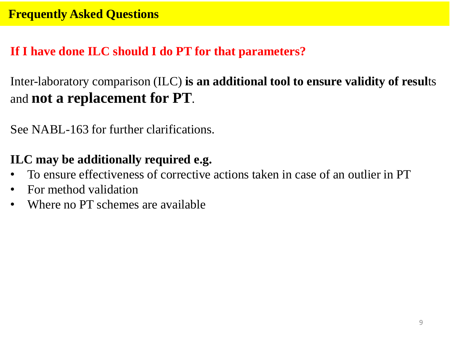### **If I have done ILC should I do PT for that parameters?**

Inter-laboratory comparison (ILC) **is an additional tool to ensure validity of resul**ts and **not a replacement for PT**.

See NABL-163 for further clarifications.

### **ILC may be additionally required e.g.**

- To ensure effectiveness of corrective actions taken in case of an outlier in PT
- For method validation
- Where no PT schemes are available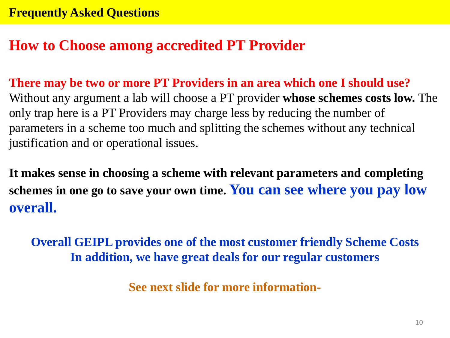### **How to Choose among accredited PT Provider**

**There may be two or more PT Providers in an area which one I should use?** Without any argument a lab will choose a PT provider **whose schemes costs low.** The only trap here is a PT Providers may charge less by reducing the number of parameters in a scheme too much and splitting the schemes without any technical justification and or operational issues.

**It makes sense in choosing a scheme with relevant parameters and completing schemes in one go to save your own time. You can see where you pay low overall.** 

**Overall GEIPL provides one of the most customer friendly Scheme Costs In addition, we have great deals for our regular customers**

**See next slide for more information-**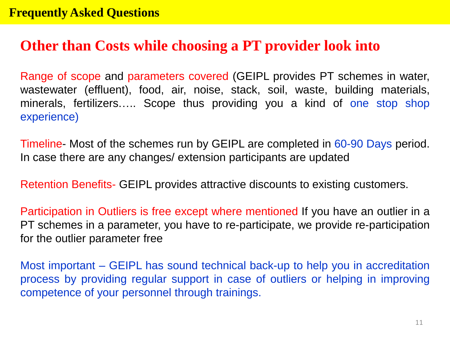### **Other than Costs while choosing a PT provider look into**

Range of scope and parameters covered (GEIPL provides PT schemes in water, wastewater (effluent), food, air, noise, stack, soil, waste, building materials, minerals, fertilizers….. Scope thus providing you a kind of one stop shop experience)

Timeline- Most of the schemes run by GEIPL are completed in 60-90 Days period. In case there are any changes/ extension participants are updated

Retention Benefits- GEIPL provides attractive discounts to existing customers.

Participation in Outliers is free except where mentioned If you have an outlier in a PT schemes in a parameter, you have to re-participate, we provide re-participation for the outlier parameter free

Most important – GEIPL has sound technical back-up to help you in accreditation process by providing regular support in case of outliers or helping in improving competence of your personnel through trainings.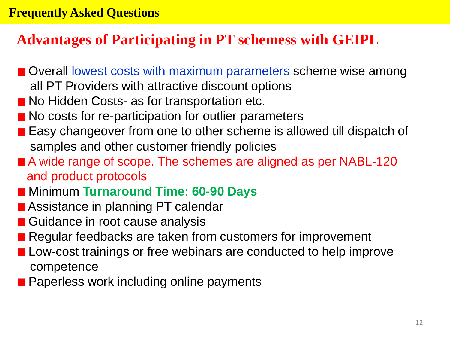### **Advantages of Participating in PT schemess with GEIPL**

- Overall lowest costs with maximum parameters scheme wise among all PT Providers with attractive discount options
- No Hidden Costs- as for transportation etc.
- No costs for re-participation for outlier parameters
- Easy changeover from one to other scheme is allowed till dispatch of samples and other customer friendly policies
- A wide range of scope. The schemes are aligned as per NABL-120 and product protocols
- Minimum **Turnaround Time: 60-90 Days**
- Assistance in planning PT calendar
- Guidance in root cause analysis
- Regular feedbacks are taken from customers for improvement
- Low-cost trainings or free webinars are conducted to help improve competence
- **Paperless work including online payments**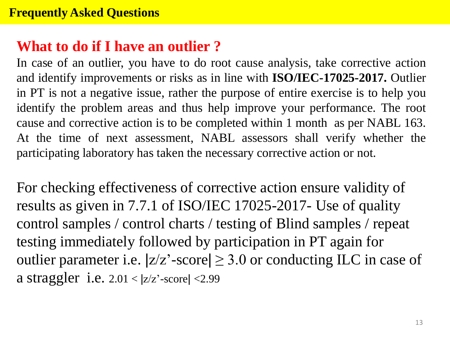### **What to do if I have an outlier ?**

In case of an outlier, you have to do root cause analysis, take corrective action and identify improvements or risks as in line with **ISO/IEC-17025-2017.** Outlier in PT is not a negative issue, rather the purpose of entire exercise is to help you identify the problem areas and thus help improve your performance. The root cause and corrective action is to be completed within 1 month as per NABL 163. At the time of next assessment, NABL assessors shall verify whether the participating laboratory has taken the necessary corrective action or not.

For checking effectiveness of corrective action ensure validity of results as given in 7.7.1 of ISO/IEC 17025-2017- Use of quality control samples / control charts / testing of Blind samples / repeat testing immediately followed by participation in PT again for outlier parameter i.e.  $|z/z'$ -score $|\geq 3.0$  or conducting ILC in case of a straggler i.e.  $2.01 < |z/z|$ -score $|<2.99$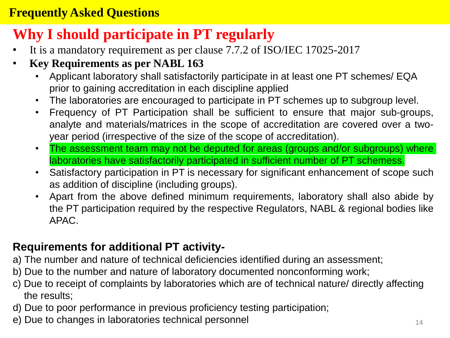### **Frequently Asked Questions**

## **Why I should participate in PT regularly**

- It is a mandatory requirement as per clause 7.7.2 of ISO/IEC 17025-2017
- **Key Requirements as per NABL 163**
	- Applicant laboratory shall satisfactorily participate in at least one PT schemes/ EQA prior to gaining accreditation in each discipline applied
	- The laboratories are encouraged to participate in PT schemes up to subgroup level.
	- Frequency of PT Participation shall be sufficient to ensure that major sub-groups, analyte and materials/matrices in the scope of accreditation are covered over a twoyear period (irrespective of the size of the scope of accreditation).
	- The assessment team may not be deputed for areas (groups and/or subgroups) where laboratories have satisfactorily participated in sufficient number of PT schemess.
	- Satisfactory participation in PT is necessary for significant enhancement of scope such as addition of discipline (including groups).
	- Apart from the above defined minimum requirements, laboratory shall also abide by the PT participation required by the respective Regulators, NABL & regional bodies like APAC.

#### **Requirements for additional PT activity-**

- a) The number and nature of technical deficiencies identified during an assessment;
- b) Due to the number and nature of laboratory documented nonconforming work;
- c) Due to receipt of complaints by laboratories which are of technical nature/ directly affecting the results;
- d) Due to poor performance in previous proficiency testing participation;
- e) Due to changes in laboratories technical personnel example that the contract of  $14$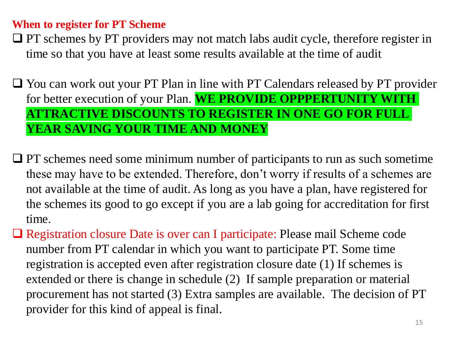#### **When to register for PT Scheme**

□ PT schemes by PT providers may not match labs audit cycle, therefore register in time so that you have at least some results available at the time of audit

❑ You can work out your PT Plan in line with PT Calendars released by PT provider for better execution of your Plan. **WE PROVIDE OPPPERTUNITY WITH ATTRACTIVE DISCOUNTS TO REGISTER IN ONE GO FOR FULL YEAR SAVING YOUR TIME AND MONEY**

- ❑ PT schemes need some minimum number of participants to run as such sometime these may have to be extended. Therefore, don't worry if results of a schemes are not available at the time of audit. As long as you have a plan, have registered for the schemes its good to go except if you are a lab going for accreditation for first time.
- □ Registration closure Date is over can I participate: Please mail Scheme code number from PT calendar in which you want to participate PT. Some time registration is accepted even after registration closure date (1) If schemes is extended or there is change in schedule (2) If sample preparation or material procurement has not started (3) Extra samples are available. The decision of PT provider for this kind of appeal is final.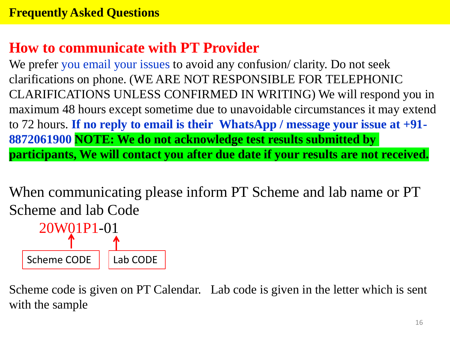## **How to communicate with PT Provider**

We prefer you email your issues to avoid any confusion/ clarity. Do not seek clarifications on phone. (WE ARE NOT RESPONSIBLE FOR TELEPHONIC CLARIFICATIONS UNLESS CONFIRMED IN WRITING) We will respond you in maximum 48 hours except sometime due to unavoidable circumstances it may extend to 72 hours. **If no reply to email is their WhatsApp / message your issue at +91- 8872061900 NOTE: We do not acknowledge test results submitted by participants, We will contact you after due date if your results are not received.**

When communicating please inform PT Scheme and lab name or PT Scheme and lab Code



Scheme code is given on PT Calendar. Lab code is given in the letter which is sent with the sample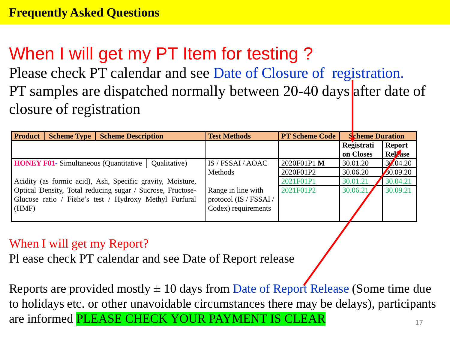# When I will get my PT Item for testing?

Please check PT calendar and see Date of Closure of registration. PT samples are dispatched normally between 20-40 days after date of closure of registration

| <b>Product</b><br><b>Scheme Type</b><br><b>Scheme Description</b> | <b>Test Methods</b>    | <b>PT Scheme Code</b> | <b>Scheme Duration</b>  |                                 |
|-------------------------------------------------------------------|------------------------|-----------------------|-------------------------|---------------------------------|
|                                                                   |                        |                       | Registrati<br>on Closes | <b>Report</b><br><b>Relasse</b> |
| <b>HONEY F01-</b> Simultaneous (Quantitative   Qualitative)       | IS / FSSAI / AOAC      | 2020F01P1 M           | 30.01.20                | 30.04.20                        |
|                                                                   | Methods                | 2020F01P2             | 30.06.20                | 30.09.20                        |
| Acidity (as formic acid), Ash, Specific gravity, Moisture,        |                        | 2021F01P1             | 30.01.21                | 30.04.21                        |
| Optical Density, Total reducing sugar / Sucrose, Fructose-        | Range in line with     | 2021F01P2             | 30.06.21                | 30.09.21                        |
| Glucose ratio / Fiehe's test / Hydroxy Methyl Furfural            | protocol (IS / FSSAI / |                       |                         |                                 |
| (HMF)                                                             | Codex) requirements    |                       |                         |                                 |
|                                                                   |                        |                       |                         |                                 |

#### When I will get my Report?

Pl ease check PT calendar and see Date of Report release

Reports are provided mostly  $\pm 10$  days from Date of Report Release (Some time due to holidays etc. or other unavoidable circumstances there may be delays), participants are informed PLEASE CHECK YOUR PAYMENT IS CLEAR 17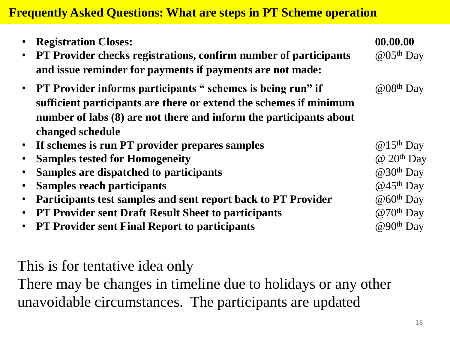### **Frequently Asked Questions: What are steps in PT Scheme operation**

| $\bullet$ | <b>Registration Closes:</b><br><b>PT Provider checks registrations, confirm number of participants</b><br>and issue reminder for payments if payments are not made:                                                           | 00.00.00<br>$@05th$ Day       |
|-----------|-------------------------------------------------------------------------------------------------------------------------------------------------------------------------------------------------------------------------------|-------------------------------|
|           | • PT Provider informs participants " schemes is being run" if<br>sufficient participants are there or extend the schemes if minimum<br>number of labs (8) are not there and inform the participants about<br>changed schedule | $@08th$ Day                   |
| $\bullet$ | If schemes is run PT provider prepares samples                                                                                                                                                                                | $@15th$ Day                   |
| $\bullet$ | <b>Samples tested for Homogeneity</b>                                                                                                                                                                                         | $\omega$ 20 <sup>th</sup> Day |
| $\bullet$ | Samples are dispatched to participants                                                                                                                                                                                        | $@30th$ Day                   |
| $\bullet$ | <b>Samples reach participants</b>                                                                                                                                                                                             | $@45th$ Day                   |
| $\bullet$ | Participants test samples and sent report back to PT Provider                                                                                                                                                                 | $@60th$ Day                   |
| $\bullet$ | <b>PT Provider sent Draft Result Sheet to participants</b>                                                                                                                                                                    | $@70th$ Day                   |
|           | <b>PT Provider sent Final Report to participants</b>                                                                                                                                                                          | $@90^{th}$ Day                |

This is for tentative idea only

There may be changes in timeline due to holidays or any other unavoidable circumstances. The participants are updated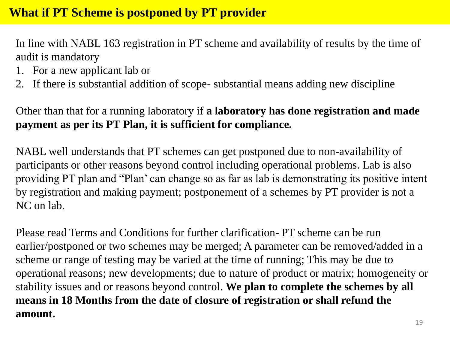In line with NABL 163 registration in PT scheme and availability of results by the time of audit is mandatory

- 1. For a new applicant lab or
- 2. If there is substantial addition of scope- substantial means adding new discipline

Other than that for a running laboratory if **a laboratory has done registration and made payment as per its PT Plan, it is sufficient for compliance.** 

NABL well understands that PT schemes can get postponed due to non-availability of participants or other reasons beyond control including operational problems. Lab is also providing PT plan and "Plan' can change so as far as lab is demonstrating its positive intent by registration and making payment; postponement of a schemes by PT provider is not a NC on lab.

Please read Terms and Conditions for further clarification- PT scheme can be run earlier/postponed or two schemes may be merged; A parameter can be removed/added in a scheme or range of testing may be varied at the time of running; This may be due to operational reasons; new developments; due to nature of product or matrix; homogeneity or stability issues and or reasons beyond control. **We plan to complete the schemes by all means in 18 Months from the date of closure of registration or shall refund the amount.**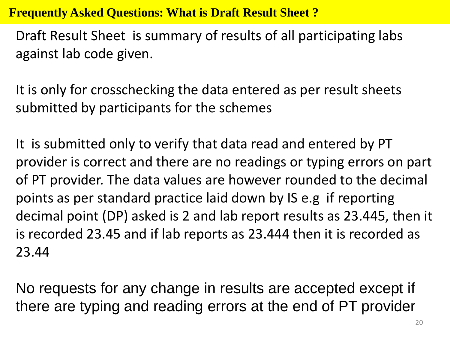**Frequently Asked Questions: What is Draft Result Sheet ?**

Draft Result Sheet is summary of results of all participating labs against lab code given.

It is only for crosschecking the data entered as per result sheets submitted by participants for the schemes

It is submitted only to verify that data read and entered by PT provider is correct and there are no readings or typing errors on part of PT provider. The data values are however rounded to the decimal points as per standard practice laid down by IS e.g if reporting decimal point (DP) asked is 2 and lab report results as 23.445, then it is recorded 23.45 and if lab reports as 23.444 then it is recorded as 23.44

No requests for any change in results are accepted except if there are typing and reading errors at the end of PT provider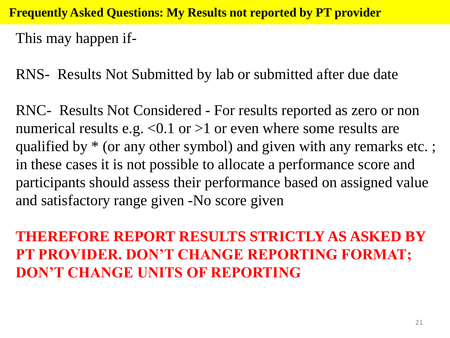**Frequently Asked Questions: My Results not reported by PT provider**

This may happen if-

RNS- Results Not Submitted by lab or submitted after due date

RNC- Results Not Considered - For results reported as zero or non numerical results e.g.  $\langle 0.1 \text{ or } 0.1 \text{ or } 0.1 \text{ or } 0.1 \text{ or } 0.1 \text{ or } 0.1 \text{ or } 0.1 \text{ or } 0.1 \text{ or } 0.1 \text{ or } 0.1 \text{ or } 0.1 \text{ or } 0.1 \text{ or } 0.1 \text{ or } 0.1 \text{ or } 0.1 \text{ or } 0.1 \text{ or } 0.1 \text{ or } 0.1 \text{ or } 0.1 \text{ or } 0.1 \text{ or } 0.1 \text{ or } 0.1 \text$ qualified by  $*$  (or any other symbol) and given with any remarks etc.; in these cases it is not possible to allocate a performance score and participants should assess their performance based on assigned value and satisfactory range given -No score given

**THEREFORE REPORT RESULTS STRICTLY AS ASKED BY PT PROVIDER. DON'T CHANGE REPORTING FORMAT; DON'T CHANGE UNITS OF REPORTING**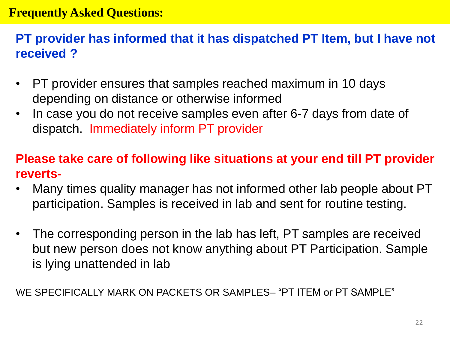#### **Frequently Asked Questions:**

### **PT provider has informed that it has dispatched PT Item, but I have not received ?**

- PT provider ensures that samples reached maximum in 10 days depending on distance or otherwise informed
- In case you do not receive samples even after 6-7 days from date of dispatch. Immediately inform PT provider

### **Please take care of following like situations at your end till PT provider reverts-**

- Many times quality manager has not informed other lab people about PT participation. Samples is received in lab and sent for routine testing.
- The corresponding person in the lab has left, PT samples are received but new person does not know anything about PT Participation. Sample is lying unattended in lab

WE SPECIFICALLY MARK ON PACKETS OR SAMPLES– "PT ITEM or PT SAMPLE"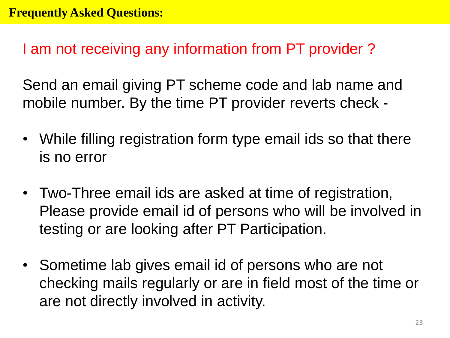I am not receiving any information from PT provider ?

Send an email giving PT scheme code and lab name and mobile number. By the time PT provider reverts check -

- While filling registration form type email ids so that there is no error
- Two-Three email ids are asked at time of registration, Please provide email id of persons who will be involved in testing or are looking after PT Participation.
- Sometime lab gives email id of persons who are not checking mails regularly or are in field most of the time or are not directly involved in activity.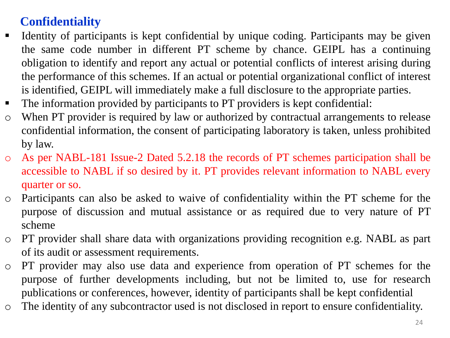### **Confidentiality**

- **Example 1** Identity of participants is kept confidential by unique coding. Participants may be given the same code number in different PT scheme by chance. GEIPL has a continuing obligation to identify and report any actual or potential conflicts of interest arising during the performance of this schemes. If an actual or potential organizational conflict of interest is identified, GEIPL will immediately make a full disclosure to the appropriate parties.
- The information provided by participants to PT providers is kept confidential:
- o When PT provider is required by law or authorized by contractual arrangements to release confidential information, the consent of participating laboratory is taken, unless prohibited by law.
- o As per NABL-181 Issue-2 Dated 5.2.18 the records of PT schemes participation shall be accessible to NABL if so desired by it. PT provides relevant information to NABL every quarter or so.
- o Participants can also be asked to waive of confidentiality within the PT scheme for the purpose of discussion and mutual assistance or as required due to very nature of PT scheme
- o PT provider shall share data with organizations providing recognition e.g. NABL as part of its audit or assessment requirements.
- o PT provider may also use data and experience from operation of PT schemes for the purpose of further developments including, but not be limited to, use for research publications or conferences, however, identity of participants shall be kept confidential
- o The identity of any subcontractor used is not disclosed in report to ensure confidentiality.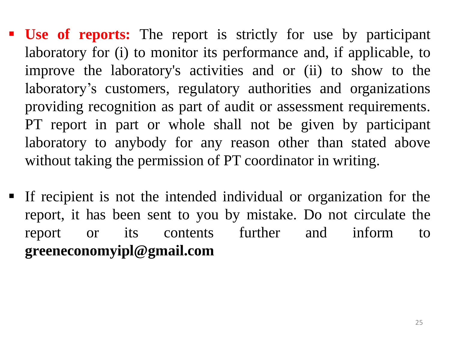- **Use of reports:** The report is strictly for use by participant laboratory for (i) to monitor its performance and, if applicable, to improve the laboratory's activities and or (ii) to show to the laboratory's customers, regulatory authorities and organizations providing recognition as part of audit or assessment requirements. PT report in part or whole shall not be given by participant laboratory to anybody for any reason other than stated above without taking the permission of PT coordinator in writing.
- If recipient is not the intended individual or organization for the report, it has been sent to you by mistake. Do not circulate the report or its contents further and inform to **greeneconomyipl@gmail.com**